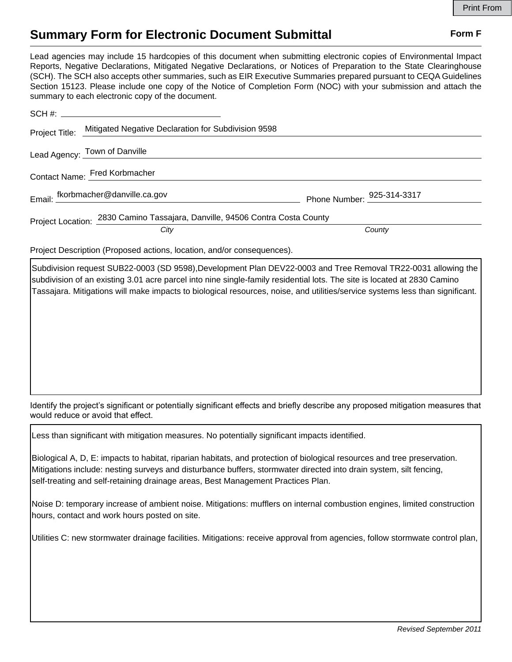## **Summary Form for Electronic Document Submittal Form F Form F**

Lead agencies may include 15 hardcopies of this document when submitting electronic copies of Environmental Impact Reports, Negative Declarations, Mitigated Negative Declarations, or Notices of Preparation to the State Clearinghouse (SCH). The SCH also accepts other summaries, such as EIR Executive Summaries prepared pursuant to CEQA Guidelines Section 15123. Please include one copy of the Notice of Completion Form (NOC) with your submission and attach the summary to each electronic copy of the document.

|                               | Project Title: Mitigated Negative Declaration for Subdivision 9598           |                                     |
|-------------------------------|------------------------------------------------------------------------------|-------------------------------------|
|                               | Lead Agency: Town of Danville                                                |                                     |
| Contact Name: Fred Korbmacher |                                                                              |                                     |
|                               | Email: fkorbmacher@danville.ca.gov                                           | Phone Number: $^{925-314-3317}_{-}$ |
|                               | Project Location: 2830 Camino Tassajara, Danville, 94506 Contra Costa County |                                     |
|                               | City                                                                         | County                              |

Project Description (Proposed actions, location, and/or consequences).

Subdivision request SUB22-0003 (SD 9598),Development Plan DEV22-0003 and Tree Removal TR22-0031 allowing the subdivision of an existing 3.01 acre parcel into nine single-family residential lots. The site is located at 2830 Camino Tassajara. Mitigations will make impacts to biological resources, noise, and utilities/service systems less than significant.

Identify the project's significant or potentially significant effects and briefly describe any proposed mitigation measures that would reduce or avoid that effect.

Less than significant with mitigation measures. No potentially significant impacts identified.

Biological A, D, E: impacts to habitat, riparian habitats, and protection of biological resources and tree preservation. Mitigations include: nesting surveys and disturbance buffers, stormwater directed into drain system, silt fencing, self-treating and self-retaining drainage areas, Best Management Practices Plan.

Noise D: temporary increase of ambient noise. Mitigations: mufflers on internal combustion engines, limited construction hours, contact and work hours posted on site.

Utilities C: new stormwater drainage facilities. Mitigations: receive approval from agencies, follow stormwate control plan,